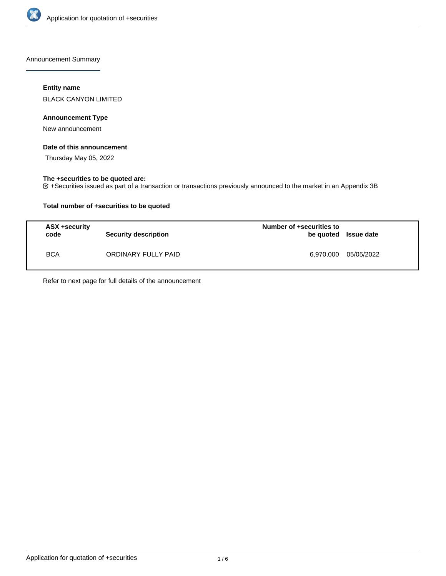

Announcement Summary

# **Entity name**

BLACK CANYON LIMITED

# **Announcement Type**

New announcement

# **Date of this announcement**

Thursday May 05, 2022

# **The +securities to be quoted are:**

+Securities issued as part of a transaction or transactions previously announced to the market in an Appendix 3B

# **Total number of +securities to be quoted**

| ASX +security<br>code | <b>Security description</b> | Number of +securities to<br>be quoted Issue date |            |
|-----------------------|-----------------------------|--------------------------------------------------|------------|
| <b>BCA</b>            | ORDINARY FULLY PAID         | 6.970.000                                        | 05/05/2022 |

Refer to next page for full details of the announcement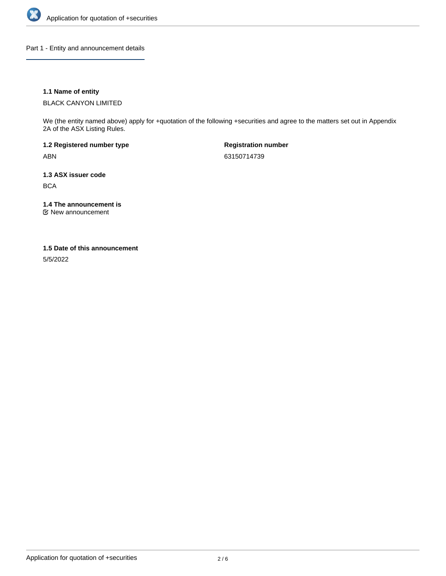

Part 1 - Entity and announcement details

# **1.1 Name of entity**

BLACK CANYON LIMITED

We (the entity named above) apply for +quotation of the following +securities and agree to the matters set out in Appendix 2A of the ASX Listing Rules.

**1.2 Registered number type** ABN

**Registration number** 63150714739

**1.3 ASX issuer code BCA** 

**1.4 The announcement is**

New announcement

### **1.5 Date of this announcement**

5/5/2022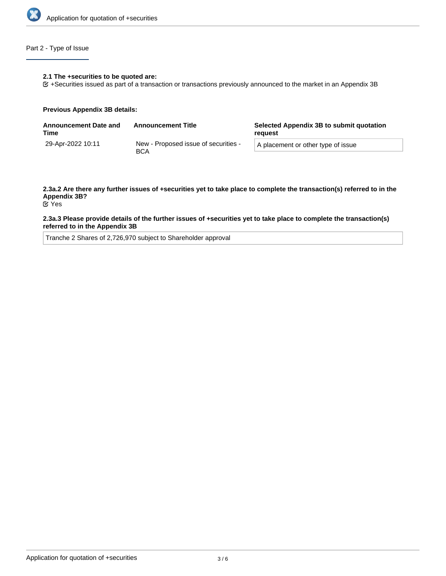

# Part 2 - Type of Issue

#### **2.1 The +securities to be quoted are:**

+Securities issued as part of a transaction or transactions previously announced to the market in an Appendix 3B

#### **Previous Appendix 3B details:**

| <b>Announcement Date and</b><br>Time | <b>Announcement Title</b>                          | Selected Appendix 3B to submit quotation<br>reguest |  |
|--------------------------------------|----------------------------------------------------|-----------------------------------------------------|--|
| 29-Apr-2022 10:11                    | New - Proposed issue of securities -<br><b>BCA</b> | A placement or other type of issue                  |  |

# **2.3a.2 Are there any further issues of +securities yet to take place to complete the transaction(s) referred to in the Appendix 3B?**

Yes

### **2.3a.3 Please provide details of the further issues of +securities yet to take place to complete the transaction(s) referred to in the Appendix 3B**

Tranche 2 Shares of 2,726,970 subject to Shareholder approval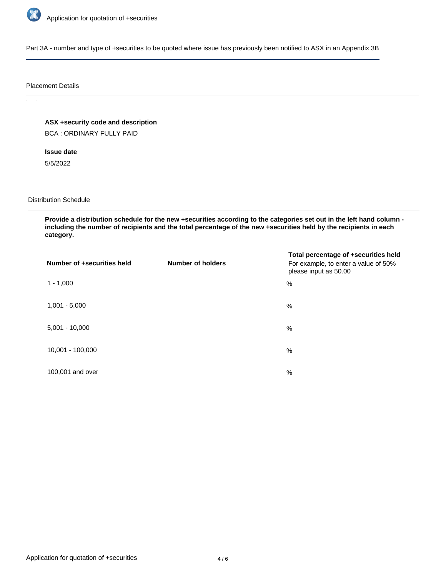

Part 3A - number and type of +securities to be quoted where issue has previously been notified to ASX in an Appendix 3B

### Placement Details

**ASX +security code and description**

BCA : ORDINARY FULLY PAID

**Issue date**

5/5/2022

Distribution Schedule

**Provide a distribution schedule for the new +securities according to the categories set out in the left hand column including the number of recipients and the total percentage of the new +securities held by the recipients in each category.**

| Number of +securities held | <b>Number of holders</b> | Total percentage of +securities held<br>For example, to enter a value of 50%<br>please input as 50.00 |
|----------------------------|--------------------------|-------------------------------------------------------------------------------------------------------|
| $1 - 1,000$                |                          | $\%$                                                                                                  |
| $1,001 - 5,000$            |                          | $\%$                                                                                                  |
| $5,001 - 10,000$           |                          | %                                                                                                     |
| 10,001 - 100,000           |                          | %                                                                                                     |
| 100,001 and over           |                          | $\%$                                                                                                  |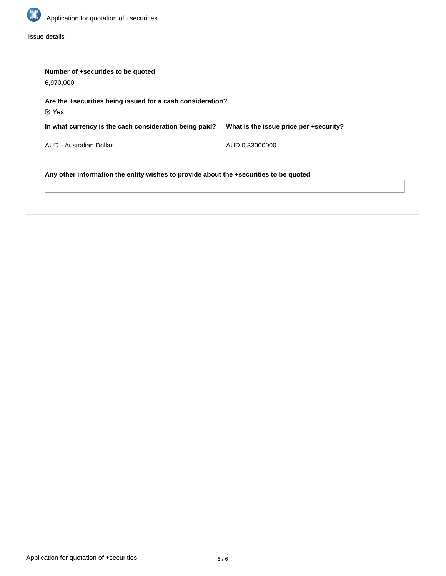

Issue details

| Number of +securities to be quoted<br>6,970,000                                       |                                        |  |  |  |
|---------------------------------------------------------------------------------------|----------------------------------------|--|--|--|
| Are the +securities being issued for a cash consideration?<br>$\mathfrak C$ Yes       |                                        |  |  |  |
| In what currency is the cash consideration being paid?                                | What is the issue price per +security? |  |  |  |
| AUD - Australian Dollar                                                               | AUD 0.33000000                         |  |  |  |
| Any other information the entity wishes to provide about the +securities to be quoted |                                        |  |  |  |